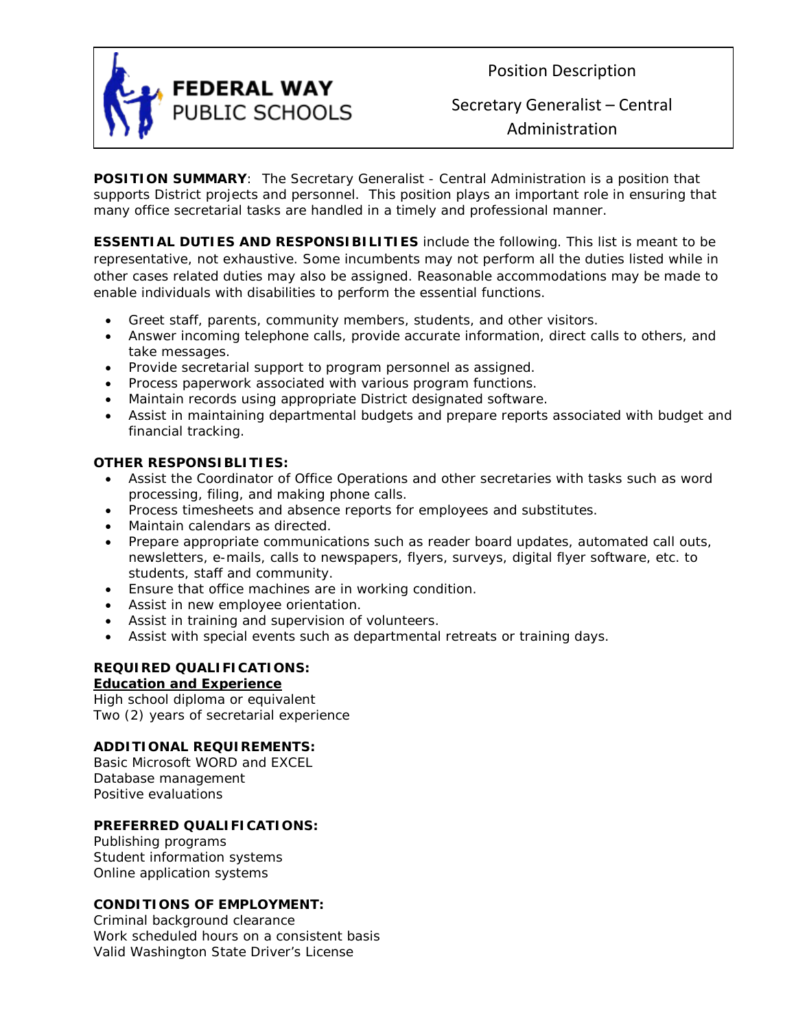

Position Description

# Secretary Generalist – Central Administration

**POSITION SUMMARY**: The Secretary Generalist - Central Administration is a position that supports District projects and personnel. This position plays an important role in ensuring that many office secretarial tasks are handled in a timely and professional manner.

**ESSENTIAL DUTIES AND RESPONSIBILITIES** include the following. This list is meant to be representative, not exhaustive. Some incumbents may not perform all the duties listed while in other cases related duties may also be assigned. Reasonable accommodations may be made to enable individuals with disabilities to perform the essential functions.

- Greet staff, parents, community members, students, and other visitors.
- Answer incoming telephone calls, provide accurate information, direct calls to others, and take messages.
- Provide secretarial support to program personnel as assigned.
- Process paperwork associated with various program functions.
- Maintain records using appropriate District designated software.
- Assist in maintaining departmental budgets and prepare reports associated with budget and financial tracking.

# **OTHER RESPONSIBLITIES:**

- Assist the Coordinator of Office Operations and other secretaries with tasks such as word processing, filing, and making phone calls.
- Process timesheets and absence reports for employees and substitutes.
- Maintain calendars as directed.
- Prepare appropriate communications such as reader board updates, automated call outs, newsletters, e-mails, calls to newspapers, flyers, surveys, digital flyer software, etc. to students, staff and community.
- Ensure that office machines are in working condition.
- Assist in new employee orientation.
- Assist in training and supervision of volunteers.
- Assist with special events such as departmental retreats or training days.

# **REQUIRED QUALIFICATIONS:**

# **Education and Experience**

High school diploma or equivalent Two (2) years of secretarial experience

# **ADDITIONAL REQUIREMENTS:**

Basic Microsoft WORD and EXCEL Database management Positive evaluations

# **PREFERRED QUALIFICATIONS:**

Publishing programs Student information systems Online application systems

# **CONDITIONS OF EMPLOYMENT:**

Criminal background clearance Work scheduled hours on a consistent basis Valid Washington State Driver's License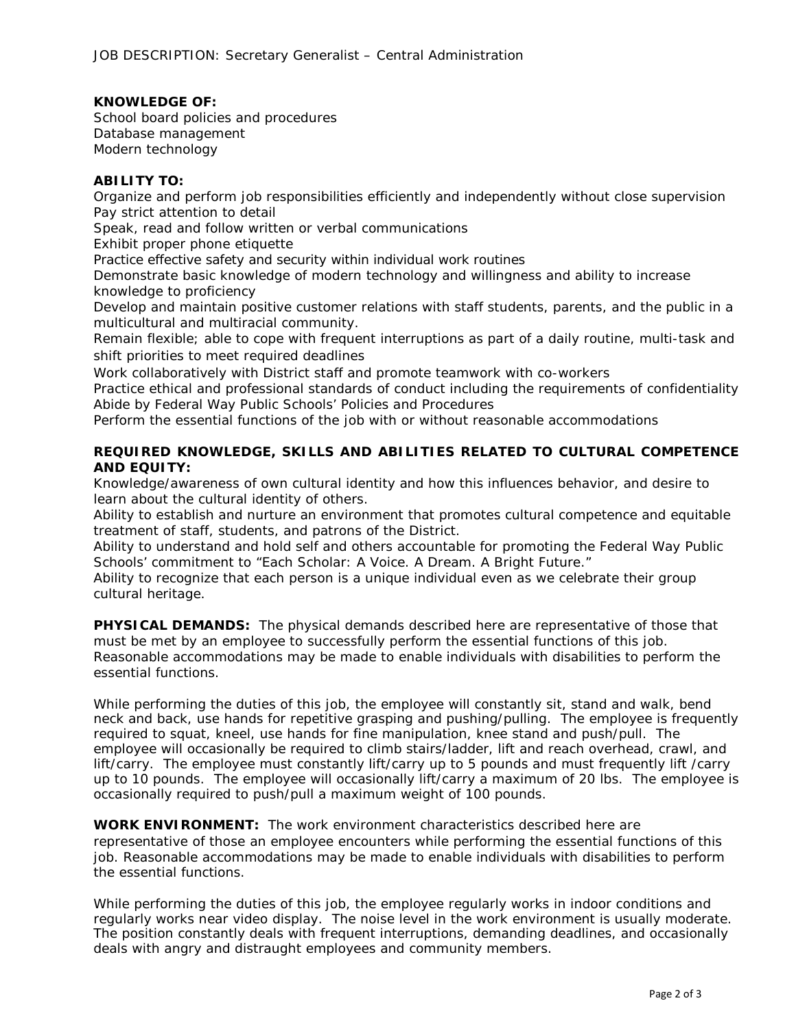#### **KNOWLEDGE OF:**

School board policies and procedures Database management Modern technology

#### **ABILITY TO:**

Organize and perform job responsibilities efficiently and independently without close supervision Pay strict attention to detail

Speak, read and follow written or verbal communications

Exhibit proper phone etiquette

Practice effective safety and security within individual work routines

Demonstrate basic knowledge of modern technology and willingness and ability to increase knowledge to proficiency

Develop and maintain positive customer relations with staff students, parents, and the public in a multicultural and multiracial community.

Remain flexible; able to cope with frequent interruptions as part of a daily routine, multi-task and shift priorities to meet required deadlines

Work collaboratively with District staff and promote teamwork with co-workers

Practice ethical and professional standards of conduct including the requirements of confidentiality Abide by Federal Way Public Schools' Policies and Procedures

Perform the essential functions of the job with or without reasonable accommodations

# **REQUIRED KNOWLEDGE, SKILLS AND ABILITIES RELATED TO CULTURAL COMPETENCE AND EQUITY:**

Knowledge/awareness of own cultural identity and how this influences behavior, and desire to learn about the cultural identity of others.

Ability to establish and nurture an environment that promotes cultural competence and equitable treatment of staff, students, and patrons of the District.

Ability to understand and hold self and others accountable for promoting the Federal Way Public Schools' commitment to "Each Scholar: A Voice. A Dream. A Bright Future."

Ability to recognize that each person is a unique individual even as we celebrate their group cultural heritage.

**PHYSICAL DEMANDS:** The physical demands described here are representative of those that must be met by an employee to successfully perform the essential functions of this job. Reasonable accommodations may be made to enable individuals with disabilities to perform the essential functions.

While performing the duties of this job, the employee will constantly sit, stand and walk, bend neck and back, use hands for repetitive grasping and pushing/pulling. The employee is frequently required to squat, kneel, use hands for fine manipulation, knee stand and push/pull. The employee will occasionally be required to climb stairs/ladder, lift and reach overhead, crawl, and lift/carry. The employee must constantly lift/carry up to 5 pounds and must frequently lift /carry up to 10 pounds. The employee will occasionally lift/carry a maximum of 20 lbs. The employee is occasionally required to push/pull a maximum weight of 100 pounds.

**WORK ENVIRONMENT:** The work environment characteristics described here are representative of those an employee encounters while performing the essential functions of this job. Reasonable accommodations may be made to enable individuals with disabilities to perform the essential functions.

While performing the duties of this job, the employee regularly works in indoor conditions and regularly works near video display. The noise level in the work environment is usually moderate. The position constantly deals with frequent interruptions, demanding deadlines, and occasionally deals with angry and distraught employees and community members.